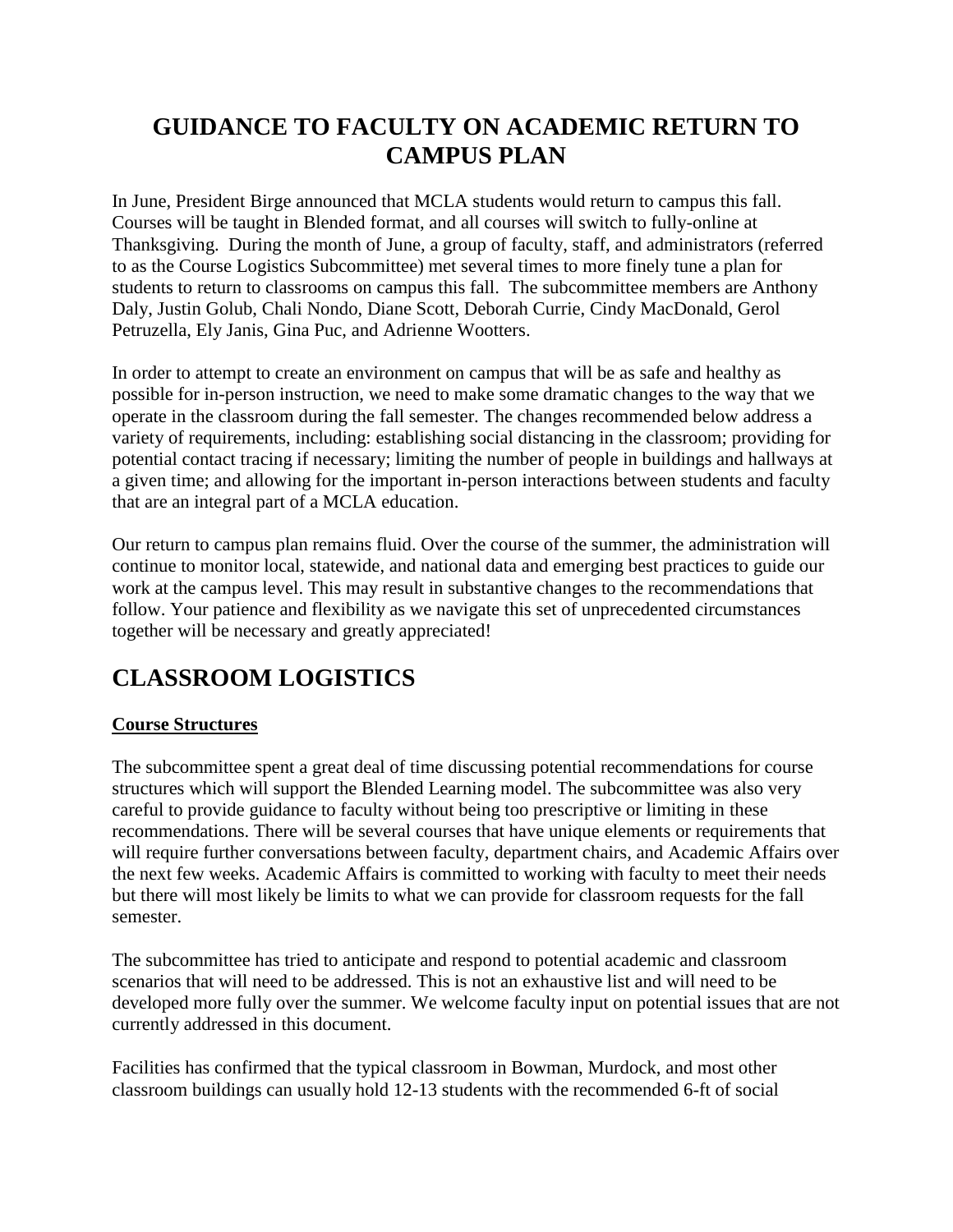# **GUIDANCE TO FACULTY ON ACADEMIC RETURN TO CAMPUS PLAN**

In June, President Birge announced that MCLA students would return to campus this fall. Courses will be taught in Blended format, and all courses will switch to fully-online at Thanksgiving. During the month of June, a group of faculty, staff, and administrators (referred to as the Course Logistics Subcommittee) met several times to more finely tune a plan for students to return to classrooms on campus this fall. The subcommittee members are Anthony Daly, Justin Golub, Chali Nondo, Diane Scott, Deborah Currie, Cindy MacDonald, Gerol Petruzella, Ely Janis, Gina Puc, and Adrienne Wootters.

In order to attempt to create an environment on campus that will be as safe and healthy as possible for in-person instruction, we need to make some dramatic changes to the way that we operate in the classroom during the fall semester. The changes recommended below address a variety of requirements, including: establishing social distancing in the classroom; providing for potential contact tracing if necessary; limiting the number of people in buildings and hallways at a given time; and allowing for the important in-person interactions between students and faculty that are an integral part of a MCLA education.

Our return to campus plan remains fluid. Over the course of the summer, the administration will continue to monitor local, statewide, and national data and emerging best practices to guide our work at the campus level. This may result in substantive changes to the recommendations that follow. Your patience and flexibility as we navigate this set of unprecedented circumstances together will be necessary and greatly appreciated!

# **CLASSROOM LOGISTICS**

## **Course Structures**

The subcommittee spent a great deal of time discussing potential recommendations for course structures which will support the Blended Learning model. The subcommittee was also very careful to provide guidance to faculty without being too prescriptive or limiting in these recommendations. There will be several courses that have unique elements or requirements that will require further conversations between faculty, department chairs, and Academic Affairs over the next few weeks. Academic Affairs is committed to working with faculty to meet their needs but there will most likely be limits to what we can provide for classroom requests for the fall semester.

The subcommittee has tried to anticipate and respond to potential academic and classroom scenarios that will need to be addressed. This is not an exhaustive list and will need to be developed more fully over the summer. We welcome faculty input on potential issues that are not currently addressed in this document.

Facilities has confirmed that the typical classroom in Bowman, Murdock, and most other classroom buildings can usually hold 12-13 students with the recommended 6-ft of social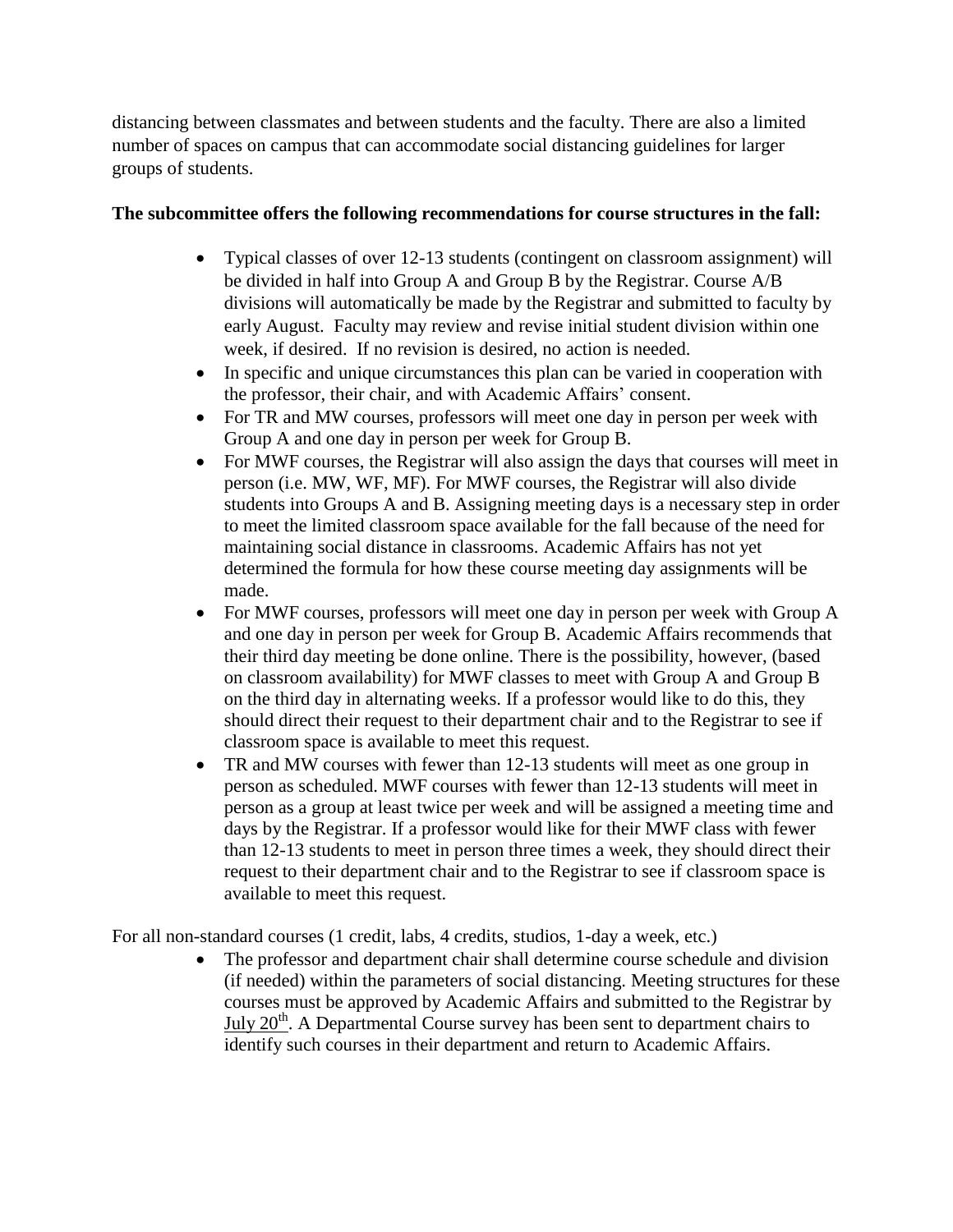distancing between classmates and between students and the faculty. There are also a limited number of spaces on campus that can accommodate social distancing guidelines for larger groups of students.

#### **The subcommittee offers the following recommendations for course structures in the fall:**

- Typical classes of over 12-13 students (contingent on classroom assignment) will be divided in half into Group A and Group B by the Registrar. Course A/B divisions will automatically be made by the Registrar and submitted to faculty by early August. Faculty may review and revise initial student division within one week, if desired. If no revision is desired, no action is needed.
- In specific and unique circumstances this plan can be varied in cooperation with the professor, their chair, and with Academic Affairs' consent.
- For TR and MW courses, professors will meet one day in person per week with Group A and one day in person per week for Group B.
- For MWF courses, the Registrar will also assign the days that courses will meet in person (i.e. MW, WF, MF). For MWF courses, the Registrar will also divide students into Groups A and B. Assigning meeting days is a necessary step in order to meet the limited classroom space available for the fall because of the need for maintaining social distance in classrooms. Academic Affairs has not yet determined the formula for how these course meeting day assignments will be made.
- For MWF courses, professors will meet one day in person per week with Group A and one day in person per week for Group B. Academic Affairs recommends that their third day meeting be done online. There is the possibility, however, (based on classroom availability) for MWF classes to meet with Group A and Group B on the third day in alternating weeks. If a professor would like to do this, they should direct their request to their department chair and to the Registrar to see if classroom space is available to meet this request.
- TR and MW courses with fewer than 12-13 students will meet as one group in person as scheduled. MWF courses with fewer than 12-13 students will meet in person as a group at least twice per week and will be assigned a meeting time and days by the Registrar. If a professor would like for their MWF class with fewer than 12-13 students to meet in person three times a week, they should direct their request to their department chair and to the Registrar to see if classroom space is available to meet this request.

For all non-standard courses (1 credit, labs, 4 credits, studios, 1-day a week, etc.)

• The professor and department chair shall determine course schedule and division (if needed) within the parameters of social distancing. Meeting structures for these courses must be approved by Academic Affairs and submitted to the Registrar by July  $20<sup>th</sup>$ . A Departmental Course survey has been sent to department chairs to identify such courses in their department and return to Academic Affairs.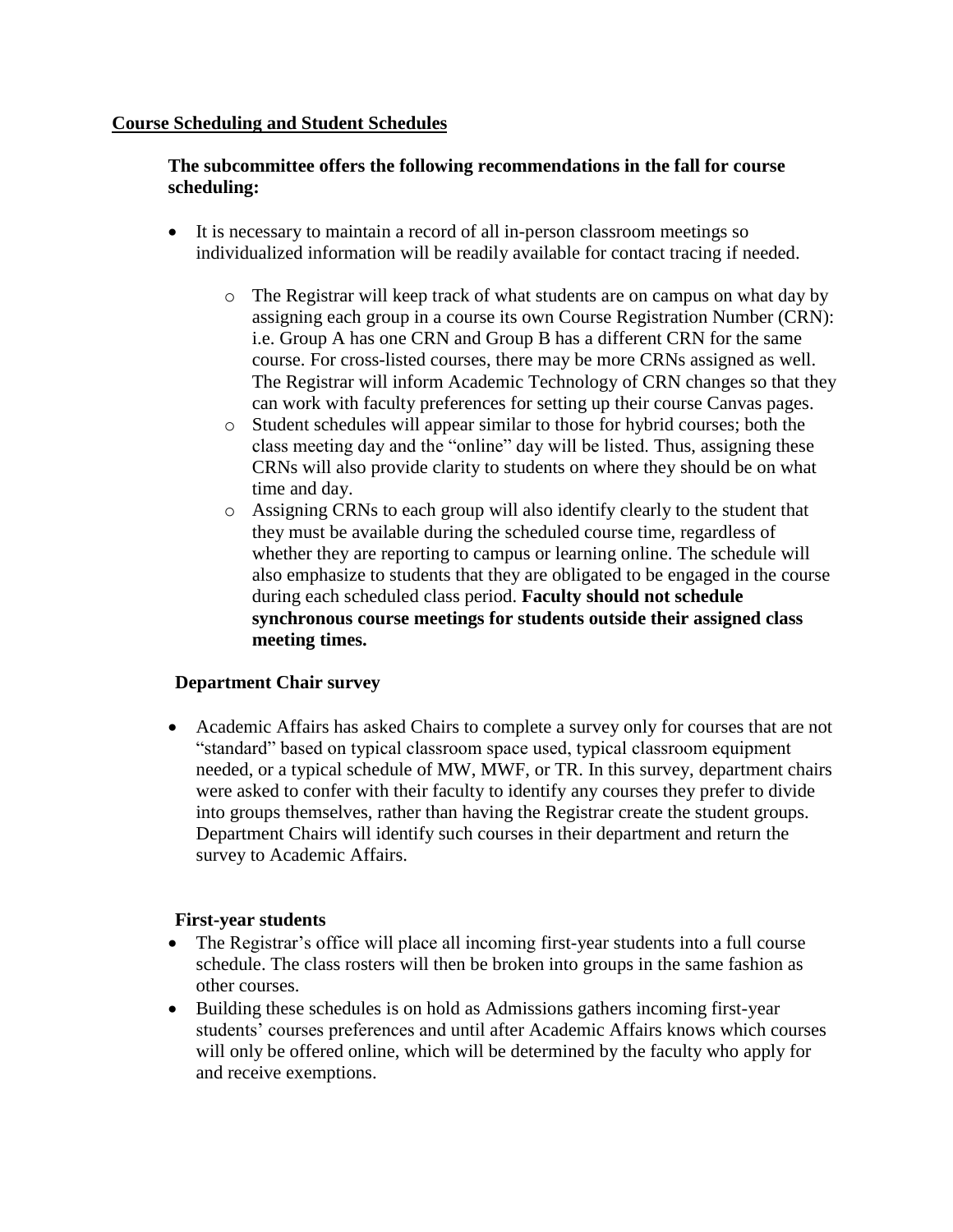#### **Course Scheduling and Student Schedules**

#### **The subcommittee offers the following recommendations in the fall for course scheduling:**

- It is necessary to maintain a record of all in-person classroom meetings so individualized information will be readily available for contact tracing if needed.
	- o The Registrar will keep track of what students are on campus on what day by assigning each group in a course its own Course Registration Number (CRN): i.e. Group A has one CRN and Group B has a different CRN for the same course. For cross-listed courses, there may be more CRNs assigned as well. The Registrar will inform Academic Technology of CRN changes so that they can work with faculty preferences for setting up their course Canvas pages.
	- o Student schedules will appear similar to those for hybrid courses; both the class meeting day and the "online" day will be listed. Thus, assigning these CRNs will also provide clarity to students on where they should be on what time and day.
	- o Assigning CRNs to each group will also identify clearly to the student that they must be available during the scheduled course time, regardless of whether they are reporting to campus or learning online. The schedule will also emphasize to students that they are obligated to be engaged in the course during each scheduled class period. **Faculty should not schedule synchronous course meetings for students outside their assigned class meeting times.**

#### **Department Chair survey**

 Academic Affairs has asked Chairs to complete a survey only for courses that are not "standard" based on typical classroom space used, typical classroom equipment needed, or a typical schedule of MW, MWF, or TR. In this survey, department chairs were asked to confer with their faculty to identify any courses they prefer to divide into groups themselves, rather than having the Registrar create the student groups. Department Chairs will identify such courses in their department and return the survey to Academic Affairs.

#### **First-year students**

- The Registrar's office will place all incoming first-year students into a full course schedule. The class rosters will then be broken into groups in the same fashion as other courses.
- Building these schedules is on hold as Admissions gathers incoming first-year students' courses preferences and until after Academic Affairs knows which courses will only be offered online, which will be determined by the faculty who apply for and receive exemptions.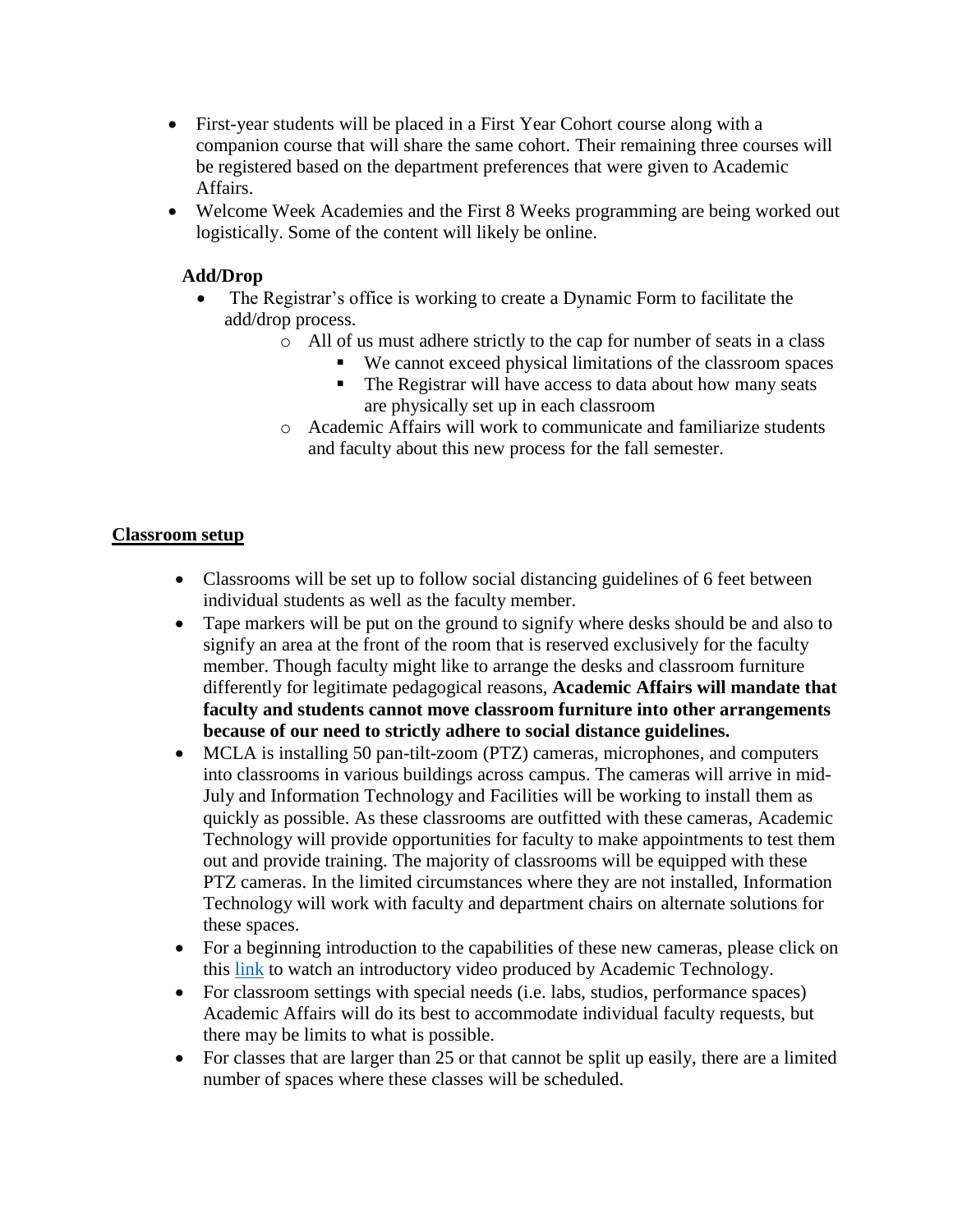- First-year students will be placed in a First Year Cohort course along with a companion course that will share the same cohort. Their remaining three courses will be registered based on the department preferences that were given to Academic Affairs.
- Welcome Week Academies and the First 8 Weeks programming are being worked out logistically. Some of the content will likely be online.

### **Add/Drop**

- The Registrar's office is working to create a Dynamic Form to facilitate the add/drop process.
	- o All of us must adhere strictly to the cap for number of seats in a class
		- We cannot exceed physical limitations of the classroom spaces
		- The Registrar will have access to data about how many seats are physically set up in each classroom
	- o Academic Affairs will work to communicate and familiarize students and faculty about this new process for the fall semester.

#### **Classroom setup**

- Classrooms will be set up to follow social distancing guidelines of 6 feet between individual students as well as the faculty member.
- Tape markers will be put on the ground to signify where desks should be and also to signify an area at the front of the room that is reserved exclusively for the faculty member. Though faculty might like to arrange the desks and classroom furniture differently for legitimate pedagogical reasons, **Academic Affairs will mandate that faculty and students cannot move classroom furniture into other arrangements because of our need to strictly adhere to social distance guidelines.**
- MCLA is installing 50 pan-tilt-zoom (PTZ) cameras, microphones, and computers into classrooms in various buildings across campus. The cameras will arrive in mid-July and Information Technology and Facilities will be working to install them as quickly as possible. As these classrooms are outfitted with these cameras, Academic Technology will provide opportunities for faculty to make appointments to test them out and provide training. The majority of classrooms will be equipped with these PTZ cameras. In the limited circumstances where they are not installed, Information Technology will work with faculty and department chairs on alternate solutions for these spaces.
- For a beginning introduction to the capabilities of these new cameras, please click on this [link](https://web.microsoftstream.com/video/2122ae2e-9776-40fe-882f-5c46e970037d) to watch an introductory video produced by Academic Technology.
- For classroom settings with special needs (i.e. labs, studios, performance spaces) Academic Affairs will do its best to accommodate individual faculty requests, but there may be limits to what is possible.
- For classes that are larger than 25 or that cannot be split up easily, there are a limited number of spaces where these classes will be scheduled.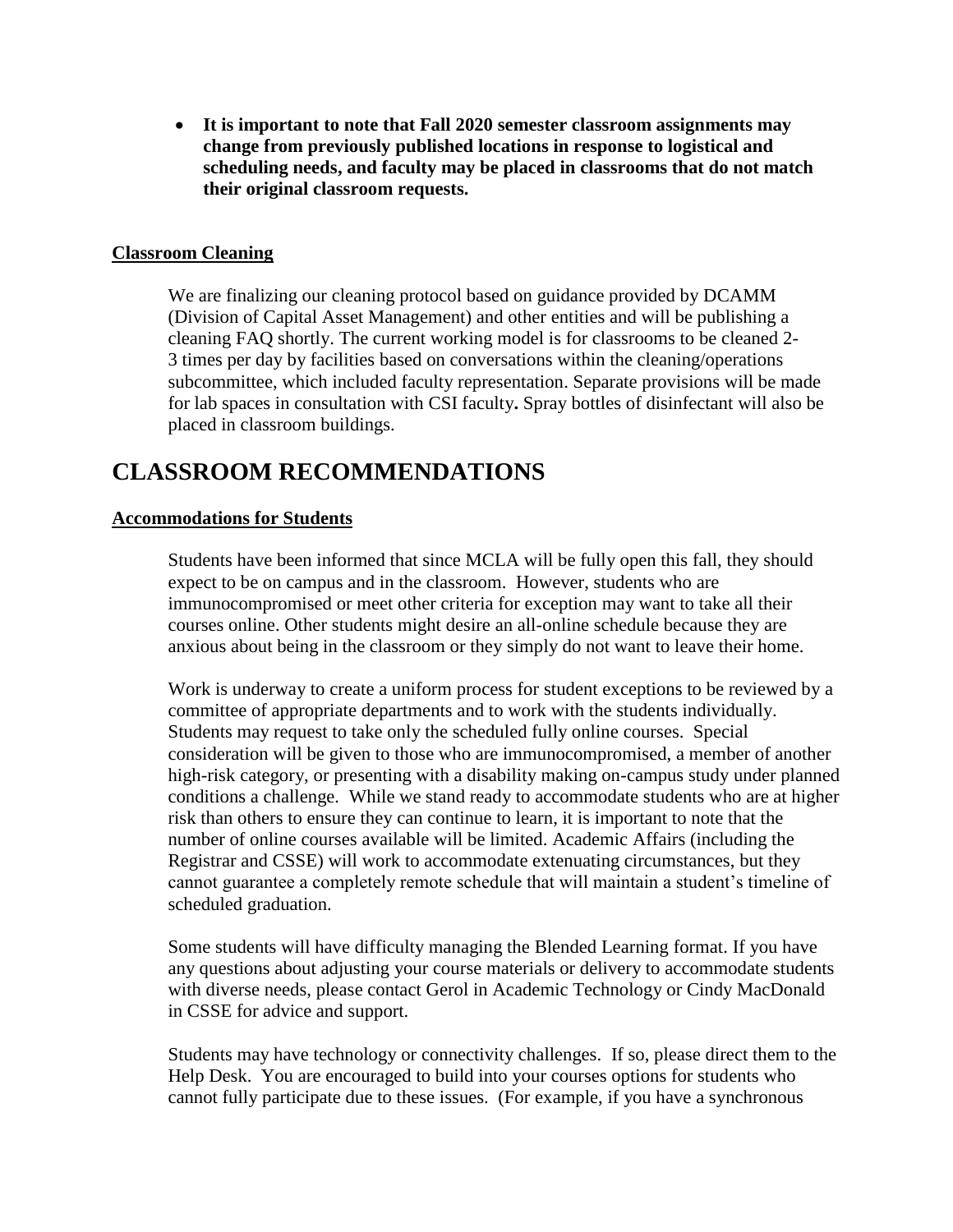**It is important to note that Fall 2020 semester classroom assignments may change from previously published locations in response to logistical and scheduling needs, and faculty may be placed in classrooms that do not match their original classroom requests.**

#### **Classroom Cleaning**

We are finalizing our cleaning protocol based on guidance provided by DCAMM (Division of Capital Asset Management) and other entities and will be publishing a cleaning FAQ shortly. The current working model is for classrooms to be cleaned 2- 3 times per day by facilities based on conversations within the cleaning/operations subcommittee, which included faculty representation. Separate provisions will be made for lab spaces in consultation with CSI faculty**.** Spray bottles of disinfectant will also be placed in classroom buildings.

## **CLASSROOM RECOMMENDATIONS**

#### **Accommodations for Students**

Students have been informed that since MCLA will be fully open this fall, they should expect to be on campus and in the classroom. However, students who are immunocompromised or meet other criteria for exception may want to take all their courses online. Other students might desire an all-online schedule because they are anxious about being in the classroom or they simply do not want to leave their home.

Work is underway to create a uniform process for student exceptions to be reviewed by a committee of appropriate departments and to work with the students individually. Students may request to take only the scheduled fully online courses. Special consideration will be given to those who are immunocompromised, a member of another high-risk category, or presenting with a disability making on-campus study under planned conditions a challenge. While we stand ready to accommodate students who are at higher risk than others to ensure they can continue to learn, it is important to note that the number of online courses available will be limited. Academic Affairs (including the Registrar and CSSE) will work to accommodate extenuating circumstances, but they cannot guarantee a completely remote schedule that will maintain a student's timeline of scheduled graduation.

Some students will have difficulty managing the Blended Learning format. If you have any questions about adjusting your course materials or delivery to accommodate students with diverse needs, please contact Gerol in Academic Technology or Cindy MacDonald in CSSE for advice and support.

Students may have technology or connectivity challenges. If so, please direct them to the Help Desk. You are encouraged to build into your courses options for students who cannot fully participate due to these issues. (For example, if you have a synchronous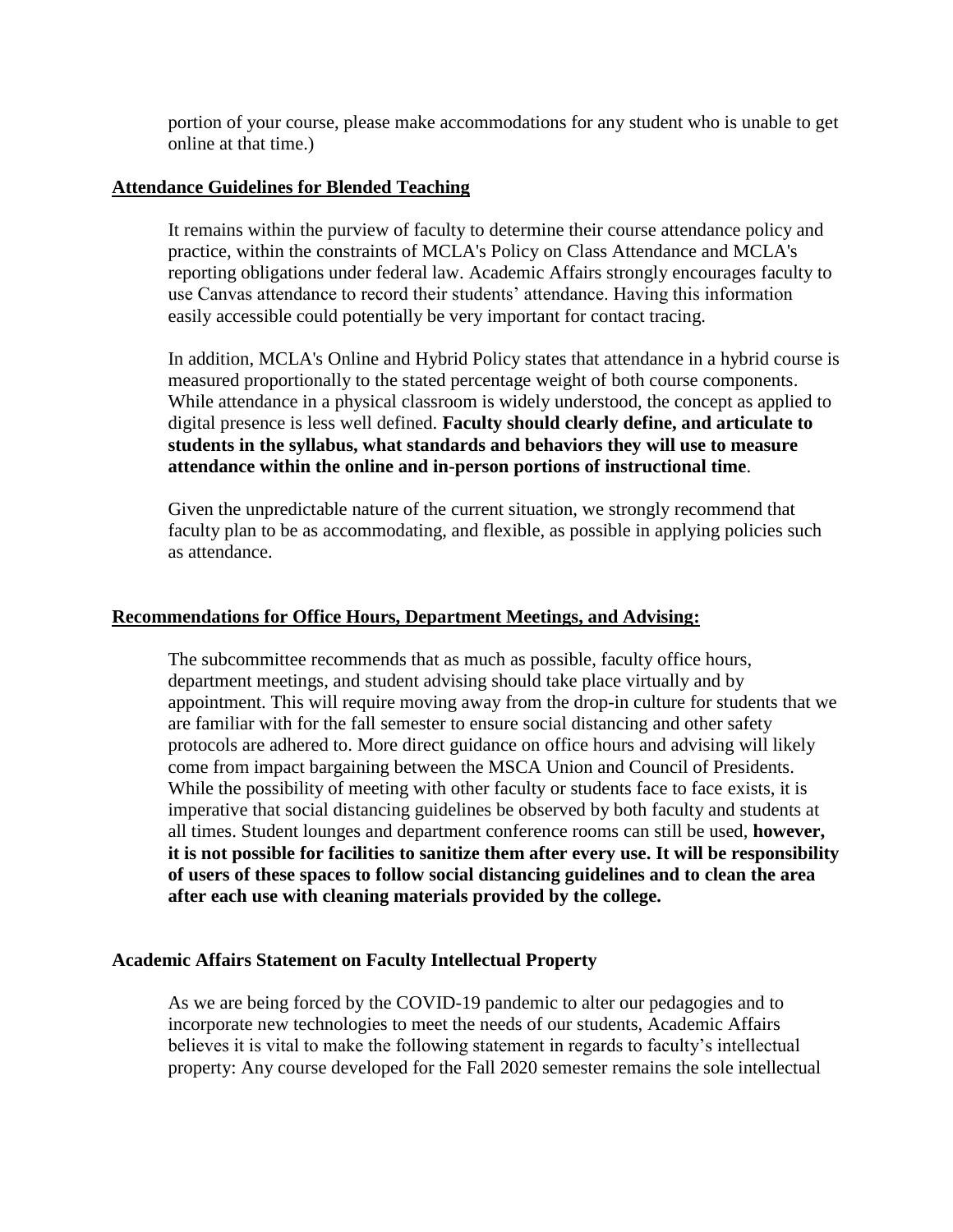portion of your course, please make accommodations for any student who is unable to get online at that time.)

#### **Attendance Guidelines for Blended Teaching**

It remains within the purview of faculty to determine their course attendance policy and practice, within the constraints of MCLA's Policy on Class Attendance and MCLA's reporting obligations under federal law. Academic Affairs strongly encourages faculty to use Canvas attendance to record their students' attendance. Having this information easily accessible could potentially be very important for contact tracing.

In addition, MCLA's Online and Hybrid Policy states that attendance in a hybrid course is measured proportionally to the stated percentage weight of both course components. While attendance in a physical classroom is widely understood, the concept as applied to digital presence is less well defined. **Faculty should clearly define, and articulate to students in the syllabus, what standards and behaviors they will use to measure attendance within the online and in-person portions of instructional time**.

Given the unpredictable nature of the current situation, we strongly recommend that faculty plan to be as accommodating, and flexible, as possible in applying policies such as attendance.

#### **Recommendations for Office Hours, Department Meetings, and Advising:**

The subcommittee recommends that as much as possible, faculty office hours, department meetings, and student advising should take place virtually and by appointment. This will require moving away from the drop-in culture for students that we are familiar with for the fall semester to ensure social distancing and other safety protocols are adhered to. More direct guidance on office hours and advising will likely come from impact bargaining between the MSCA Union and Council of Presidents. While the possibility of meeting with other faculty or students face to face exists, it is imperative that social distancing guidelines be observed by both faculty and students at all times. Student lounges and department conference rooms can still be used, **however, it is not possible for facilities to sanitize them after every use. It will be responsibility of users of these spaces to follow social distancing guidelines and to clean the area after each use with cleaning materials provided by the college.**

#### **Academic Affairs Statement on Faculty Intellectual Property**

As we are being forced by the COVID-19 pandemic to alter our pedagogies and to incorporate new technologies to meet the needs of our students, Academic Affairs believes it is vital to make the following statement in regards to faculty's intellectual property: Any course developed for the Fall 2020 semester remains the sole intellectual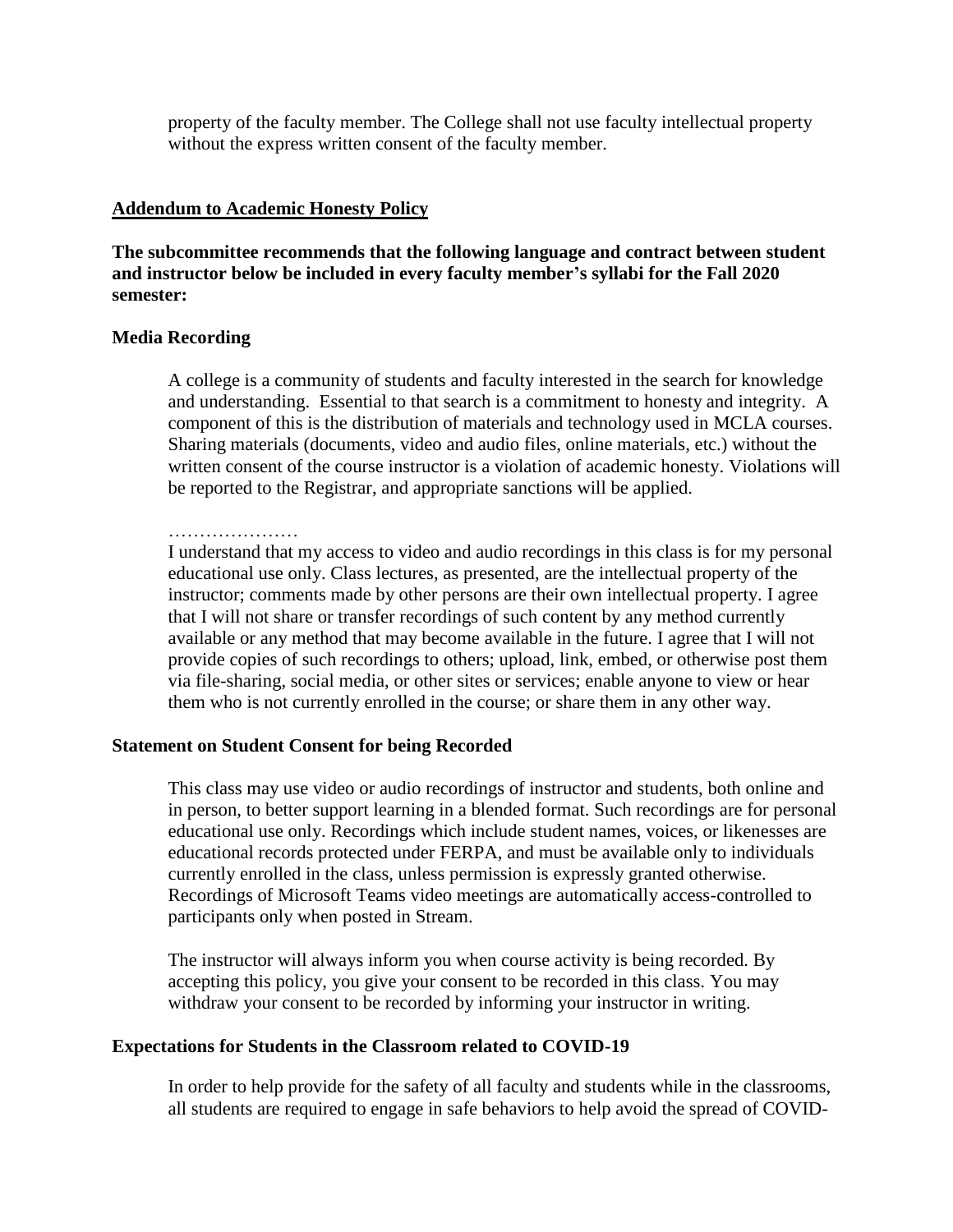property of the faculty member. The College shall not use faculty intellectual property without the express written consent of the faculty member.

#### **Addendum to Academic Honesty Policy**

**The subcommittee recommends that the following language and contract between student and instructor below be included in every faculty member's syllabi for the Fall 2020 semester:**

#### **Media Recording**

A college is a community of students and faculty interested in the search for knowledge and understanding. Essential to that search is a commitment to honesty and integrity. A component of this is the distribution of materials and technology used in MCLA courses. Sharing materials (documents, video and audio files, online materials, etc.) without the written consent of the course instructor is a violation of academic honesty. Violations will be reported to the Registrar, and appropriate sanctions will be applied.

I understand that my access to video and audio recordings in this class is for my personal educational use only. Class lectures, as presented, are the intellectual property of the instructor; comments made by other persons are their own intellectual property. I agree that I will not share or transfer recordings of such content by any method currently available or any method that may become available in the future. I agree that I will not provide copies of such recordings to others; upload, link, embed, or otherwise post them via file-sharing, social media, or other sites or services; enable anyone to view or hear them who is not currently enrolled in the course; or share them in any other way.

#### **Statement on Student Consent for being Recorded**

This class may use video or audio recordings of instructor and students, both online and in person, to better support learning in a blended format. Such recordings are for personal educational use only. Recordings which include student names, voices, or likenesses are educational records protected under FERPA, and must be available only to individuals currently enrolled in the class, unless permission is expressly granted otherwise. Recordings of Microsoft Teams video meetings are automatically access-controlled to participants only when posted in Stream.

The instructor will always inform you when course activity is being recorded. By accepting this policy, you give your consent to be recorded in this class. You may withdraw your consent to be recorded by informing your instructor in writing.

#### **Expectations for Students in the Classroom related to COVID-19**

In order to help provide for the safety of all faculty and students while in the classrooms, all students are required to engage in safe behaviors to help avoid the spread of COVID-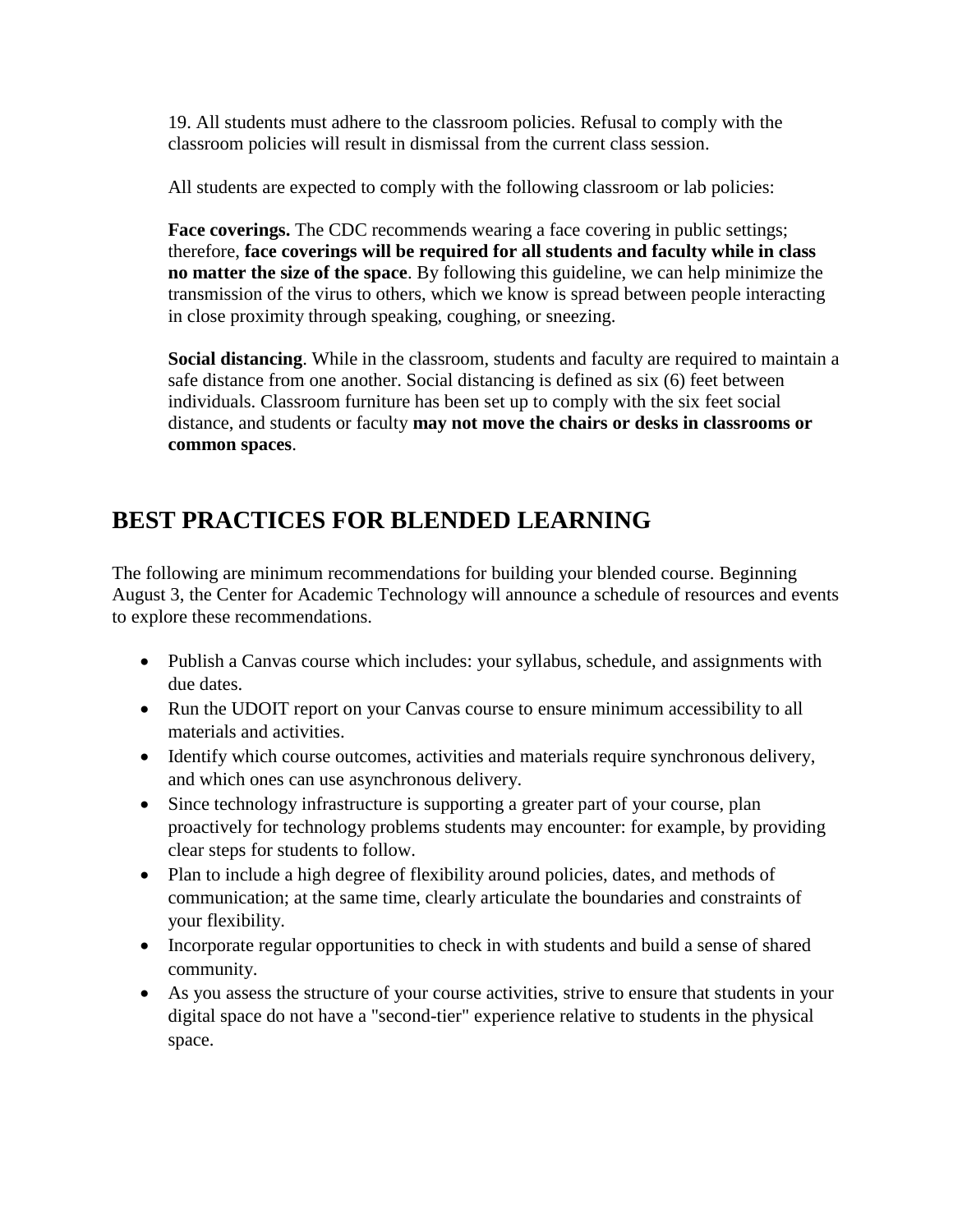19. All students must adhere to the classroom policies. Refusal to comply with the classroom policies will result in dismissal from the current class session.

All students are expected to comply with the following classroom or lab policies:

**Face coverings.** The CDC recommends wearing a face covering in public settings; therefore, **face coverings will be required for all students and faculty while in class no matter the size of the space**. By following this guideline, we can help minimize the transmission of the virus to others, which we know is spread between people interacting in close proximity through speaking, coughing, or sneezing.

**Social distancing**. While in the classroom, students and faculty are required to maintain a safe distance from one another. Social distancing is defined as six (6) feet between individuals. Classroom furniture has been set up to comply with the six feet social distance, and students or faculty **may not move the chairs or desks in classrooms or common spaces**.

# **BEST PRACTICES FOR BLENDED LEARNING**

The following are minimum recommendations for building your blended course. Beginning August 3, the Center for Academic Technology will announce a schedule of resources and events to explore these recommendations.

- Publish a Canvas course which includes: your syllabus, schedule, and assignments with due dates.
- Run the UDOIT report on your Canvas course to ensure minimum accessibility to all materials and activities.
- Identify which course outcomes, activities and materials require synchronous delivery, and which ones can use asynchronous delivery.
- Since technology infrastructure is supporting a greater part of your course, plan proactively for technology problems students may encounter: for example, by providing clear steps for students to follow.
- Plan to include a high degree of flexibility around policies, dates, and methods of communication; at the same time, clearly articulate the boundaries and constraints of your flexibility.
- Incorporate regular opportunities to check in with students and build a sense of shared community.
- As you assess the structure of your course activities, strive to ensure that students in your digital space do not have a "second-tier" experience relative to students in the physical space.